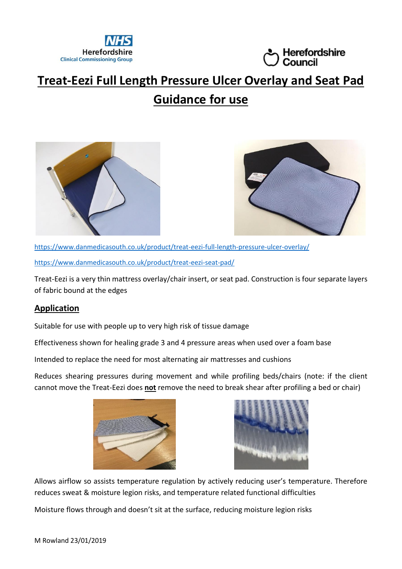



# **Treat-Eezi Full Length Pressure Ulcer Overlay and Seat Pad Guidance for use**





<https://www.danmedicasouth.co.uk/product/treat-eezi-full-length-pressure-ulcer-overlay/> <https://www.danmedicasouth.co.uk/product/treat-eezi-seat-pad/>

Treat-Eezi is a very thin mattress overlay/chair insert, or seat pad. Construction is four separate layers of fabric bound at the edges

## **Application**

Suitable for use with people up to very high risk of tissue damage

Effectiveness shown for healing grade 3 and 4 pressure areas when used over a foam base

Intended to replace the need for most alternating air mattresses and cushions

Reduces shearing pressures during movement and while profiling beds/chairs (note: if the client cannot move the Treat-Eezi does **not** remove the need to break shear after profiling a bed or chair)





Allows airflow so assists temperature regulation by actively reducing user's temperature. Therefore reduces sweat & moisture legion risks, and temperature related functional difficulties

Moisture flows through and doesn't sit at the surface, reducing moisture legion risks